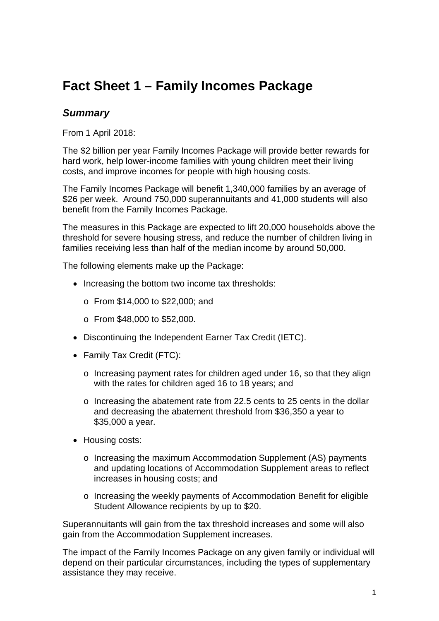# **Fact Sheet 1 – Family Incomes Package**

### *Summary*

From 1 April 2018:

The \$2 billion per year Family Incomes Package will provide better rewards for hard work, help lower-income families with young children meet their living costs, and improve incomes for people with high housing costs.

The Family Incomes Package will benefit 1,340,000 families by an average of \$26 per week. Around 750,000 superannuitants and 41,000 students will also benefit from the Family Incomes Package.

The measures in this Package are expected to lift 20,000 households above the threshold for severe housing stress, and reduce the number of children living in families receiving less than half of the median income by around 50,000.

The following elements make up the Package:

- Increasing the bottom two income tax thresholds:
	- o From \$14,000 to \$22,000; and
	- o From \$48,000 to \$52,000.
- Discontinuing the Independent Earner Tax Credit (IETC).
- Family Tax Credit (FTC):
	- o Increasing payment rates for children aged under 16, so that they align with the rates for children aged 16 to 18 years; and
	- $\circ$  Increasing the abatement rate from 22.5 cents to 25 cents in the dollar and decreasing the abatement threshold from \$36,350 a year to \$35,000 a year.
- Housing costs:
	- o Increasing the maximum Accommodation Supplement (AS) payments and updating locations of Accommodation Supplement areas to reflect increases in housing costs; and
	- o Increasing the weekly payments of Accommodation Benefit for eligible Student Allowance recipients by up to \$20.

Superannuitants will gain from the tax threshold increases and some will also gain from the Accommodation Supplement increases.

The impact of the Family Incomes Package on any given family or individual will depend on their particular circumstances, including the types of supplementary assistance they may receive.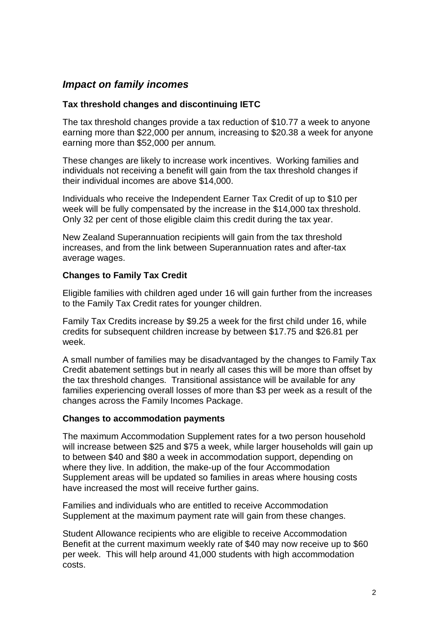## *Impact on family incomes*

#### **Tax threshold changes and discontinuing IETC**

The tax threshold changes provide a tax reduction of \$10.77 a week to anyone earning more than \$22,000 per annum, increasing to \$20.38 a week for anyone earning more than \$52,000 per annum.

These changes are likely to increase work incentives. Working families and individuals not receiving a benefit will gain from the tax threshold changes if their individual incomes are above \$14,000.

Individuals who receive the Independent Earner Tax Credit of up to \$10 per week will be fully compensated by the increase in the \$14,000 tax threshold. Only 32 per cent of those eligible claim this credit during the tax year.

New Zealand Superannuation recipients will gain from the tax threshold increases, and from the link between Superannuation rates and after-tax average wages.

#### **Changes to Family Tax Credit**

Eligible families with children aged under 16 will gain further from the increases to the Family Tax Credit rates for younger children.

Family Tax Credits increase by \$9.25 a week for the first child under 16, while credits for subsequent children increase by between \$17.75 and \$26.81 per week.

A small number of families may be disadvantaged by the changes to Family Tax Credit abatement settings but in nearly all cases this will be more than offset by the tax threshold changes. Transitional assistance will be available for any families experiencing overall losses of more than \$3 per week as a result of the changes across the Family Incomes Package.

#### **Changes to accommodation payments**

The maximum Accommodation Supplement rates for a two person household will increase between \$25 and \$75 a week, while larger households will gain up to between \$40 and \$80 a week in accommodation support, depending on where they live. In addition, the make-up of the four Accommodation Supplement areas will be updated so families in areas where housing costs have increased the most will receive further gains.

Families and individuals who are entitled to receive Accommodation Supplement at the maximum payment rate will gain from these changes.

Student Allowance recipients who are eligible to receive Accommodation Benefit at the current maximum weekly rate of \$40 may now receive up to \$60 per week. This will help around 41,000 students with high accommodation costs.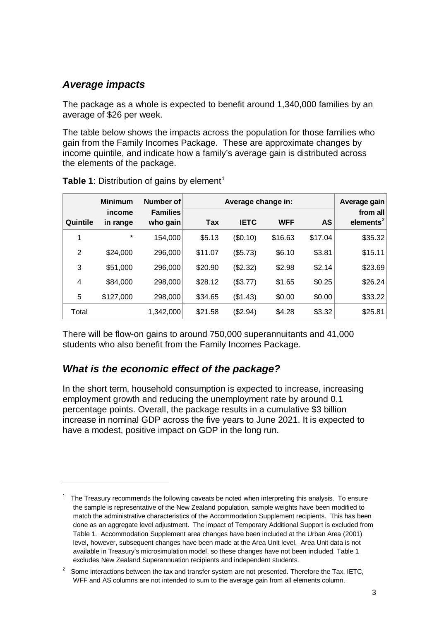# *Average impacts*

 $\overline{a}$ 

The package as a whole is expected to benefit around 1,340,000 families by an average of \$26 per week.

The table below shows the impacts across the population for those families who gain from the Family Incomes Package. These are approximate changes by income quintile, and indicate how a family's average gain is distributed across the elements of the package.

|                | <b>Minimum</b>     | Number of                   | Average change in: |             |            |           | Average gain             |
|----------------|--------------------|-----------------------------|--------------------|-------------|------------|-----------|--------------------------|
| Quintile       | income<br>in range | <b>Families</b><br>who gain | Tax                | <b>IETC</b> | <b>WFF</b> | <b>AS</b> | from all<br>elements $2$ |
| 1              | $^\star$           | 154,000                     | \$5.13             | (\$0.10)    | \$16.63    | \$17.04   | \$35.32                  |
| $\overline{2}$ | \$24,000           | 296,000                     | \$11.07            | (\$5.73)    | \$6.10     | \$3.81    | \$15.11                  |
| 3              | \$51,000           | 296,000                     | \$20.90            | (\$2.32)    | \$2.98     | \$2.14    | \$23.69                  |
| 4              | \$84,000           | 298,000                     | \$28.12            | (\$3.77)    | \$1.65     | \$0.25    | \$26.24                  |
| 5              | \$127,000          | 298,000                     | \$34.65            | (\$1.43)    | \$0.00     | \$0.00    | \$33.22                  |
| Total          |                    | 1,342,000                   | \$21.58            | (\$2.94)    | \$4.28     | \$3.32    | \$25.81                  |

**Table [1](#page-2-0)**: Distribution of gains by element<sup>1</sup>

There will be flow-on gains to around 750,000 superannuitants and 41,000 students who also benefit from the Family Incomes Package.

### *What is the economic effect of the package?*

In the short term, household consumption is expected to increase, increasing employment growth and reducing the unemployment rate by around 0.1 percentage points. Overall, the package results in a cumulative \$3 billion increase in nominal GDP across the five years to June 2021. It is expected to have a modest, positive impact on GDP in the long run.

<span id="page-2-0"></span><sup>1</sup> The Treasury recommends the following caveats be noted when interpreting this analysis. To ensure the sample is representative of the New Zealand population, sample weights have been modified to match the administrative characteristics of the Accommodation Supplement recipients. This has been done as an aggregate level adjustment. The impact of Temporary Additional Support is excluded from Table 1. Accommodation Supplement area changes have been included at the Urban Area (2001) level, however, subsequent changes have been made at the Area Unit level. Area Unit data is not available in Treasury's microsimulation model, so these changes have not been included. Table 1 excludes New Zealand Superannuation recipients and independent students.

<span id="page-2-1"></span>Some interactions between the tax and transfer system are not presented. Therefore the Tax, IETC, WFF and AS columns are not intended to sum to the average gain from all elements column.